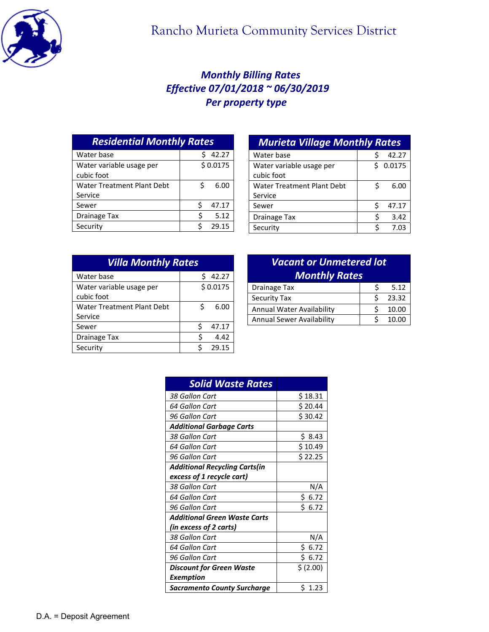

## *Monthly Billing Rates Effective 07/01/2018 ~ 06/30/2019 Per property type*

| <b>Residential Monthly Rates</b>       |            |  |
|----------------------------------------|------------|--|
| Water base                             | 42.27      |  |
| Water variable usage per<br>cubic foot | \$0.0175   |  |
| <b>Water Treatment Plant Debt</b>      | 6.00<br>Ś  |  |
| Service                                |            |  |
| Sewer                                  | ς<br>47.17 |  |
| <b>Drainage Tax</b>                    | 5.12<br>ς  |  |
| Security                               | 29.15      |  |

| <b>Murieta Village Monthly Rates</b> |   |          |  |
|--------------------------------------|---|----------|--|
| Water base                           | Ś | 42.27    |  |
| Water variable usage per             |   | \$0.0175 |  |
| cubic foot                           |   |          |  |
| Water Treatment Plant Debt           | Ś | 6.00     |  |
| Service                              |   |          |  |
| Sewer                                | Ś | 47.17    |  |
| <b>Drainage Tax</b>                  | Ś | 3.42     |  |
| Security                             | Ś | 7.03     |  |
|                                      |   |          |  |

| <b>Villa Monthly Rates</b> |             |  |
|----------------------------|-------------|--|
| Water base                 | 42.27<br>Ś  |  |
| Water variable usage per   | \$0.0175    |  |
| cubic foot                 |             |  |
| Water Treatment Plant Debt | \$.<br>6.00 |  |
| Service                    |             |  |
| Sewer                      | 47.17       |  |
| Drainage Tax               | Ś<br>4.42   |  |
| Security                   | 29.15<br>ς  |  |

| <b>Vacant or Unmetered lot</b><br><b>Monthly Rates</b> |   |       |
|--------------------------------------------------------|---|-------|
| <b>Drainage Tax</b>                                    | S | 5.12  |
| <b>Security Tax</b>                                    | ς | 23.32 |
| Annual Water Availability                              |   | 10.00 |
| <b>Annual Sewer Availability</b>                       |   | 10.00 |

| <b>Solid Waste Rates</b>             |            |
|--------------------------------------|------------|
| 38 Gallon Cart                       | \$ 18.31   |
| 64 Gallon Cart                       | \$20.44    |
| 96 Gallon Cart                       | \$30.42    |
| <b>Additional Garbage Carts</b>      |            |
| 38 Gallon Cart                       | \$ 8.43    |
| 64 Gallon Cart                       | \$10.49    |
| 96 Gallon Cart                       | \$22.25    |
| <b>Additional Recycling Carts(in</b> |            |
| excess of 1 recycle cart)            |            |
| 38 Gallon Cart                       | N/A        |
| 64 Gallon Cart                       | \$6.72     |
| 96 Gallon Cart                       | \$6.72     |
| <b>Additional Green Waste Carts</b>  |            |
| (in excess of 2 carts)               |            |
| 38 Gallon Cart                       | N/A        |
| 64 Gallon Cart                       | 6.72<br>Ś. |
| 96 Gallon Cart                       | \$ 6.72    |
| Discount for Green Waste             | \$ (2.00)  |
| Exemption                            |            |
| Sacramento County Surcharge          | \$ 1.23    |